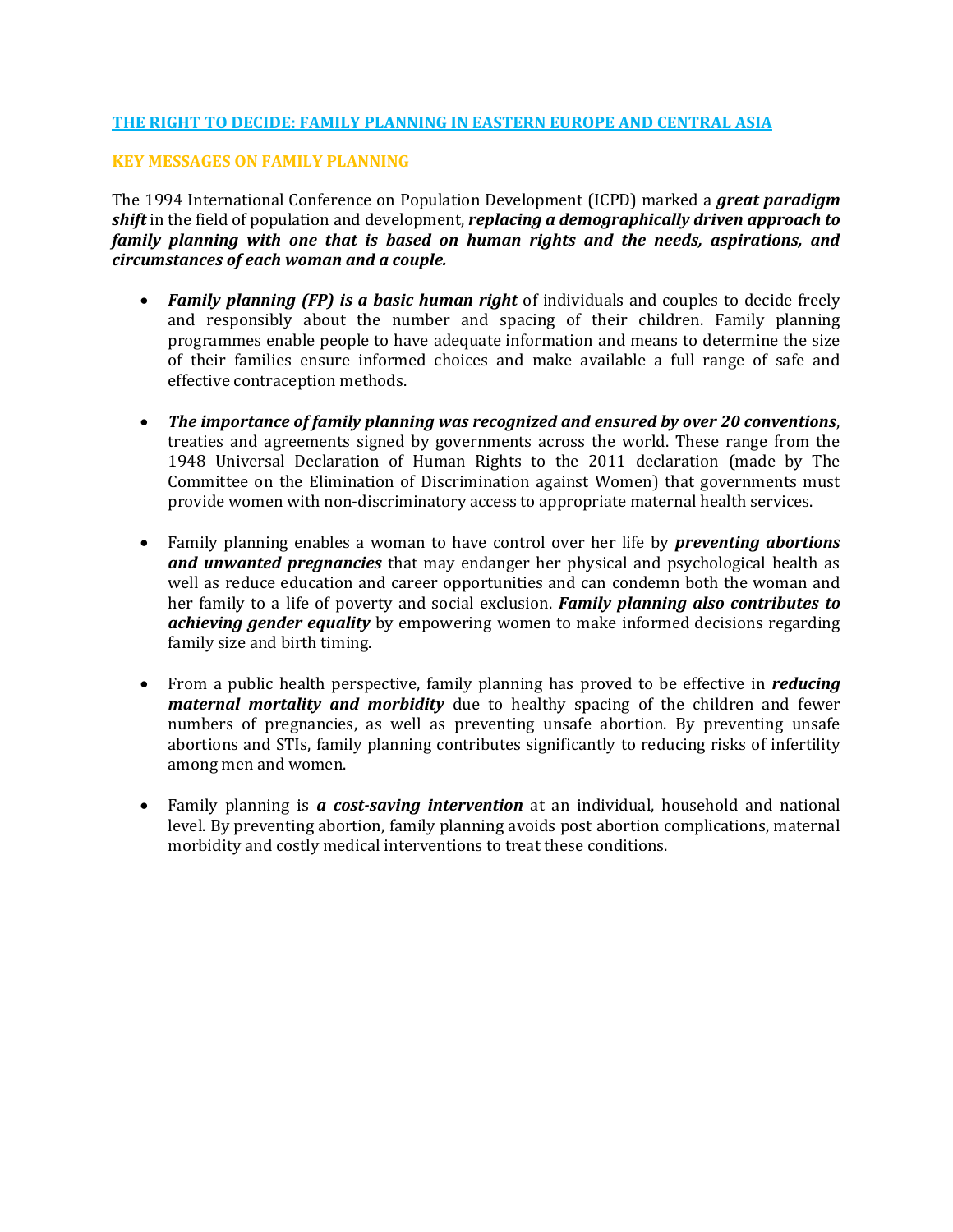### **THE RIGHT TO DECIDE: FAMILY PLANNING IN EASTERN EUROPE AND CENTRAL ASIA**

### **KEY MESSAGES ON FAMILY PLANNING**

The 1994 International Conference on Population Development (ICPD) marked a *great paradigm shift* in the field of population and development, *replacing a demographically driven approach to family planning with one that is based on human rights and the needs, aspirations, and circumstances of each woman and a couple.*

- *Family planning (FP) is a basic human right* of individuals and couples to decide freely and responsibly about the number and spacing of their children. Family planning programmes enable people to have adequate information and means to determine the size of their families ensure informed choices and make available a full range of safe and effective contraception methods.
- *The importance of family planning was recognized and ensured by over 20 conventions*, treaties and agreements signed by governments across the world. These range from the 1948 Universal Declaration of Human Rights to the 2011 declaration (made by The Committee on the Elimination of Discrimination against Women) that governments must provide women with non-discriminatory access to appropriate maternal health services.
- Family planning enables a woman to have control over her life by *preventing abortions and unwanted pregnancies* that may endanger her physical and psychological health as well as reduce education and career opportunities and can condemn both the woman and her family to a life of poverty and social exclusion. *Family planning also contributes to achieving gender equality* by empowering women to make informed decisions regarding family size and birth timing.
- From a public health perspective, family planning has proved to be effective in *reducing maternal mortality and morbidity* due to healthy spacing of the children and fewer numbers of pregnancies, as well as preventing unsafe abortion. By preventing unsafe abortions and STIs, family planning contributes significantly to reducing risks of infertility among men and women.
- Family planning is *a cost-saving intervention* at an individual, household and national level. By preventing abortion, family planning avoids post abortion complications, maternal morbidity and costly medical interventions to treat these conditions.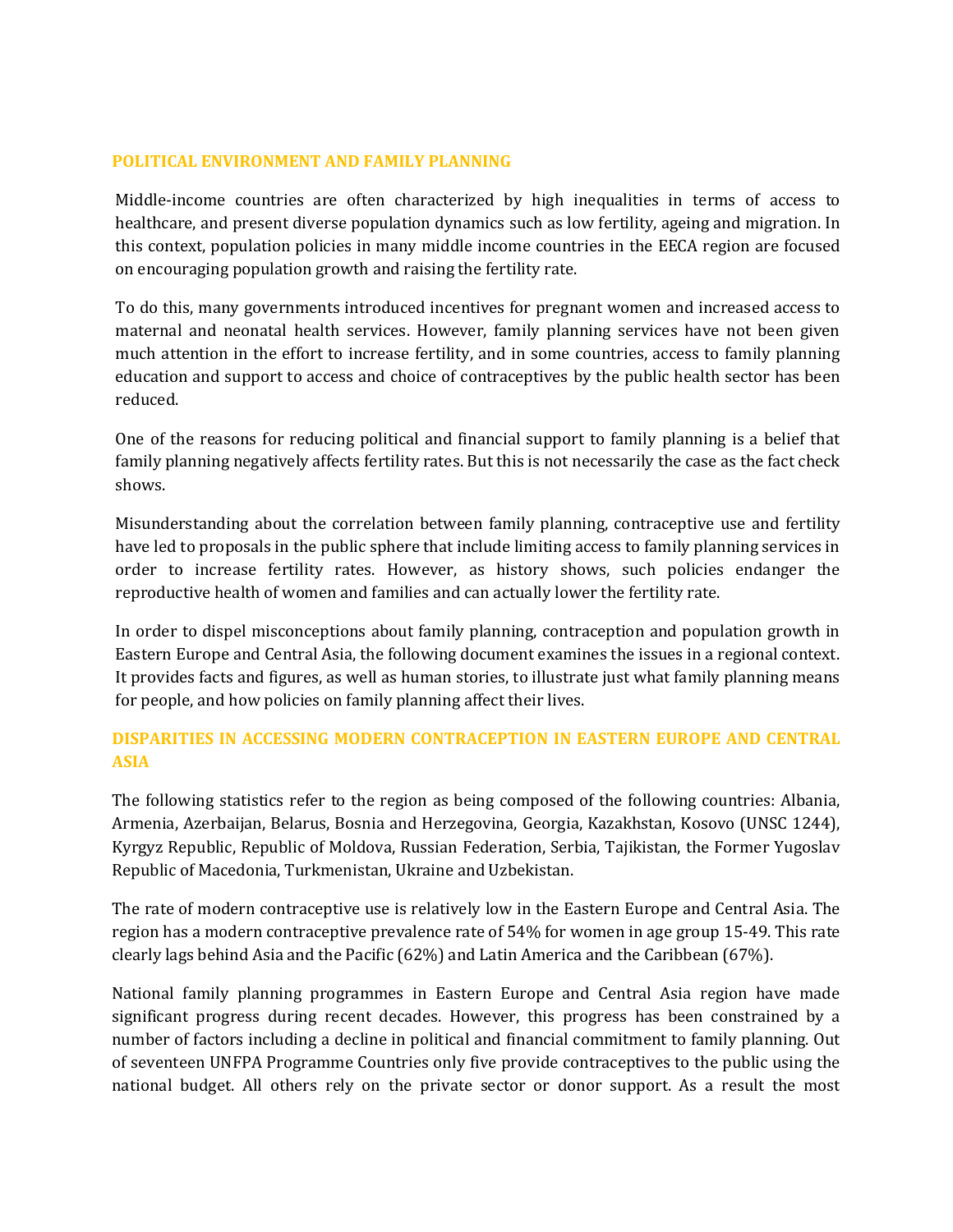### **POLITICAL ENVIRONMENT AND FAMILY PLANNING**

Middle-income countries are often characterized by high inequalities in terms of access to healthcare, and present diverse population dynamics such as low fertility, ageing and migration. In this context, population policies in many middle income countries in the EECA region are focused on encouraging population growth and raising the fertility rate.

To do this, many governments introduced incentives for pregnant women and increased access to maternal and neonatal health services. However, family planning services have not been given much attention in the effort to increase fertility, and in some countries, access to family planning education and support to access and choice of contraceptives by the public health sector has been reduced.

One of the reasons for reducing political and financial support to family planning is a belief that family planning negatively affects fertility rates. But this is not necessarily the case as the fact check shows.

Misunderstanding about the correlation between family planning, contraceptive use and fertility have led to proposals in the public sphere that include limiting access to family planning services in order to increase fertility rates. However, as history shows, such policies endanger the reproductive health of women and families and can actually lower the fertility rate.

In order to dispel misconceptions about family planning, contraception and population growth in Eastern Europe and Central Asia, the following document examines the issues in a regional context. It provides facts and figures, as well as human stories, to illustrate just what family planning means for people, and how policies on family planning affect their lives.

## **DISPARITIES IN ACCESSING MODERN CONTRACEPTION IN EASTERN EUROPE AND CENTRAL ASIA**

The following statistics refer to the region as being composed of the following countries: Albania, Armenia, Azerbaijan, Belarus, Bosnia and Herzegovina, Georgia, Kazakhstan, Kosovo (UNSC 1244), Kyrgyz Republic, Republic of Moldova, Russian Federation, Serbia, Tajikistan, the Former Yugoslav Republic of Macedonia, Turkmenistan, Ukraine and Uzbekistan.

The rate of modern contraceptive use is relatively low in the Eastern Europe and Central Asia. The region has a modern contraceptive prevalence rate of 54% for women in age group 15-49. This rate clearly lags behind Asia and the Pacific (62%) and Latin America and the Caribbean (67%).

National family planning programmes in Eastern Europe and Central Asia region have made significant progress during recent decades. However, this progress has been constrained by a number of factors including a decline in political and financial commitment to family planning. Out of seventeen UNFPA Programme Countries only five provide contraceptives to the public using the national budget. All others rely on the private sector or donor support. As a result the most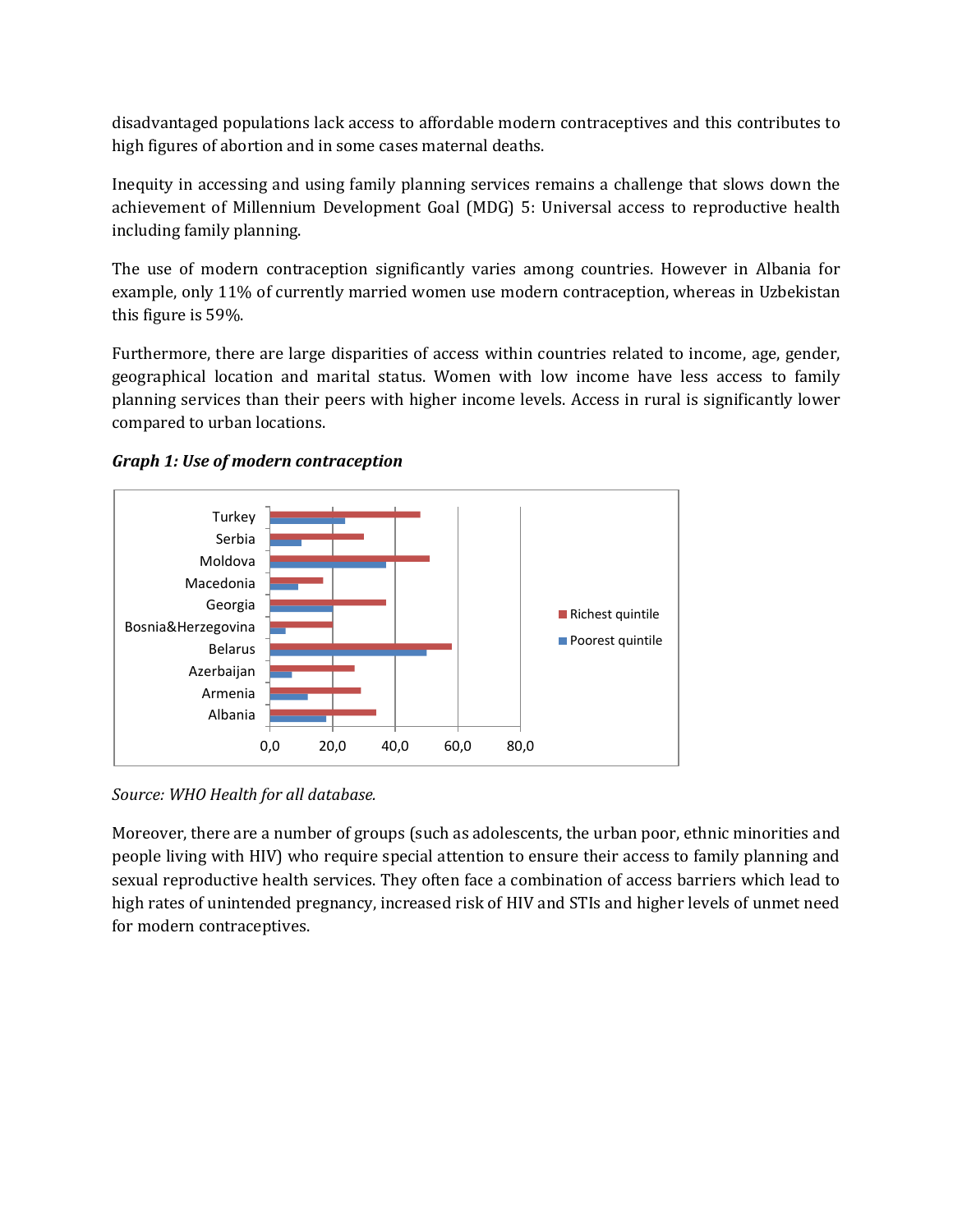disadvantaged populations lack access to affordable modern contraceptives and this contributes to high figures of abortion and in some cases maternal deaths.

Inequity in accessing and using family planning services remains a challenge that slows down the achievement of Millennium Development Goal (MDG) 5: Universal access to reproductive health including family planning.

The use of modern contraception significantly varies among countries. However in Albania for example, only 11% of currently married women use modern contraception, whereas in Uzbekistan this figure is 59%.

Furthermore, there are large disparities of access within countries related to income, age, gender, geographical location and marital status. Women with low income have less access to family planning services than their peers with higher income levels. Access in rural is significantly lower compared to urban locations.



*Graph 1: Use of modern contraception* 

*Source: WHO Health for all database.*

Moreover, there are a number of groups (such as adolescents, the urban poor, ethnic minorities and people living with HIV) who require special attention to ensure their access to family planning and sexual reproductive health services. They often face a combination of access barriers which lead to high rates of unintended pregnancy, increased risk of HIV and STIs and higher levels of unmet need for modern contraceptives.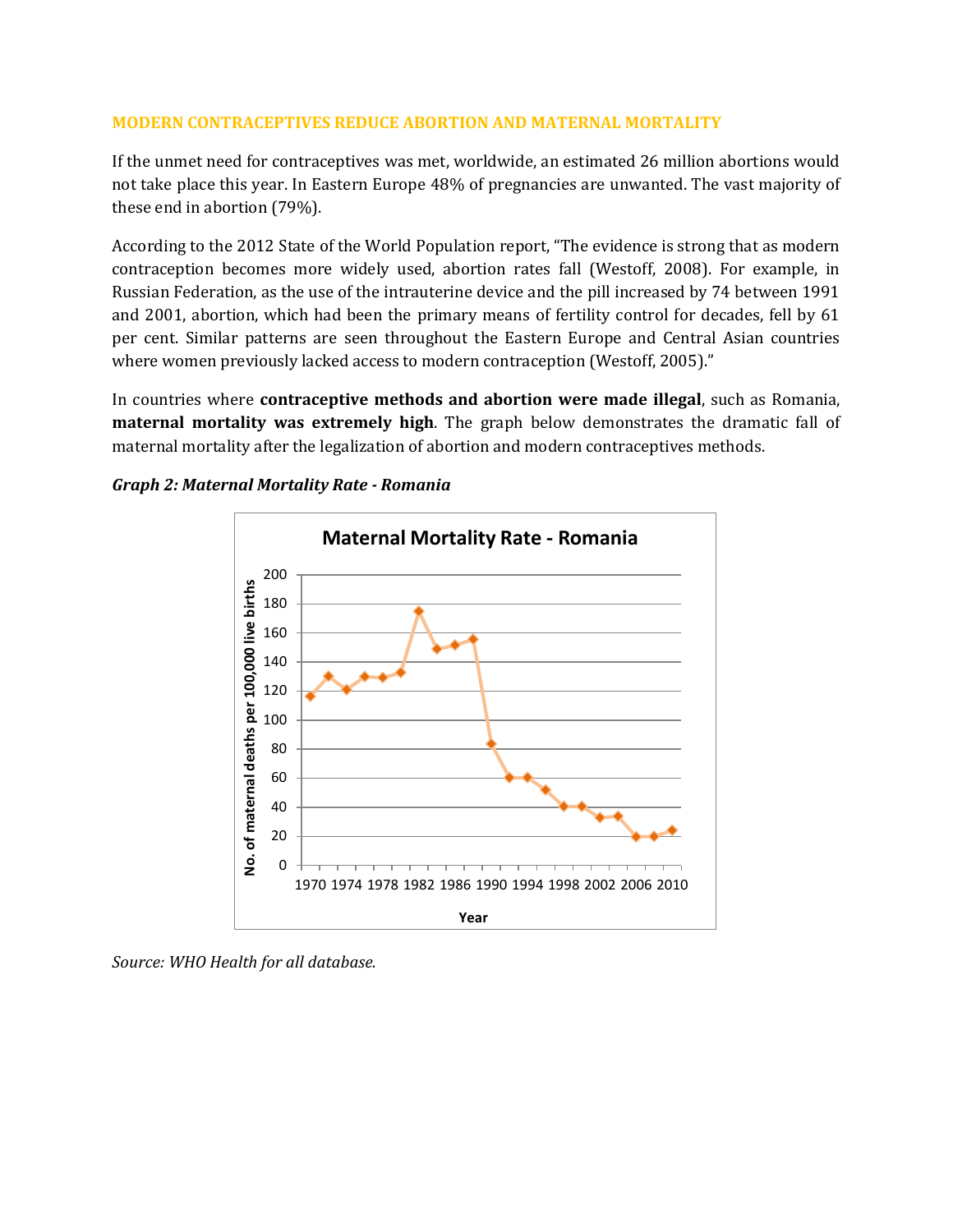### **MODERN CONTRACEPTIVES REDUCE ABORTION AND MATERNAL MORTALITY**

If the unmet need for contraceptives was met, worldwide, an estimated 26 million abortions would not take place this year. In Eastern Europe 48% of pregnancies are unwanted. The vast majority of these end in abortion (79%).

According to the 2012 State of the World Population report, "The evidence is strong that as modern contraception becomes more widely used, abortion rates fall (Westoff, 2008). For example, in Russian Federation, as the use of the intrauterine device and the pill increased by 74 between 1991 and 2001, abortion, which had been the primary means of fertility control for decades, fell by 61 per cent. Similar patterns are seen throughout the Eastern Europe and Central Asian countries where women previously lacked access to modern contraception (Westoff, 2005)."

In countries where **contraceptive methods and abortion were made illegal**, such as Romania, **maternal mortality was extremely high**. The graph below demonstrates the dramatic fall of maternal mortality after the legalization of abortion and modern contraceptives methods.





*Source: WHO Health for all database.*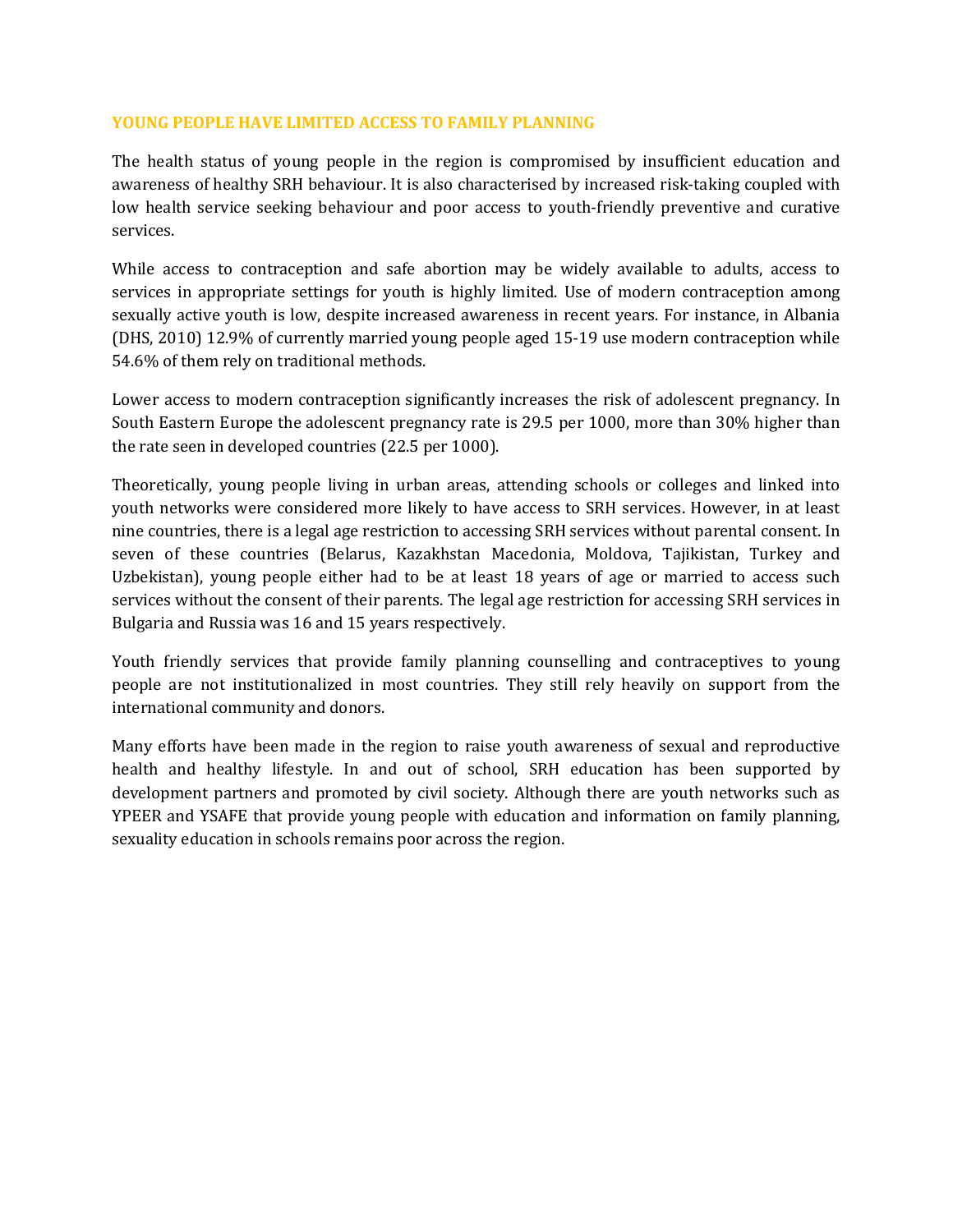### **YOUNG PEOPLE HAVE LIMITED ACCESS TO FAMILY PLANNING**

The health status of young people in the region is compromised by insufficient education and awareness of healthy SRH behaviour. It is also characterised by increased risk-taking coupled with low health service seeking behaviour and poor access to youth-friendly preventive and curative services.

While access to contraception and safe abortion may be widely available to adults, access to services in appropriate settings for youth is highly limited. Use of modern contraception among sexually active youth is low, despite increased awareness in recent years. For instance, in Albania (DHS, 2010) 12.9% of currently married young people aged 15-19 use modern contraception while 54.6% of them rely on traditional methods.

Lower access to modern contraception significantly increases the risk of adolescent pregnancy. In South Eastern Europe the adolescent pregnancy rate is 29.5 per 1000, more than 30% higher than the rate seen in developed countries (22.5 per 1000).

Theoretically, young people living in urban areas, attending schools or colleges and linked into youth networks were considered more likely to have access to SRH services. However, in at least nine countries, there is a legal age restriction to accessing SRH services without parental consent. In seven of these countries (Belarus, Kazakhstan Macedonia, Moldova, Tajikistan, Turkey and Uzbekistan), young people either had to be at least 18 years of age or married to access such services without the consent of their parents. The legal age restriction for accessing SRH services in Bulgaria and Russia was 16 and 15 years respectively.

Youth friendly services that provide family planning counselling and contraceptives to young people are not institutionalized in most countries. They still rely heavily on support from the international community and donors.

Many efforts have been made in the region to raise youth awareness of sexual and reproductive health and healthy lifestyle. In and out of school, SRH education has been supported by development partners and promoted by civil society. Although there are youth networks such as YPEER and YSAFE that provide young people with education and information on family planning, sexuality education in schools remains poor across the region.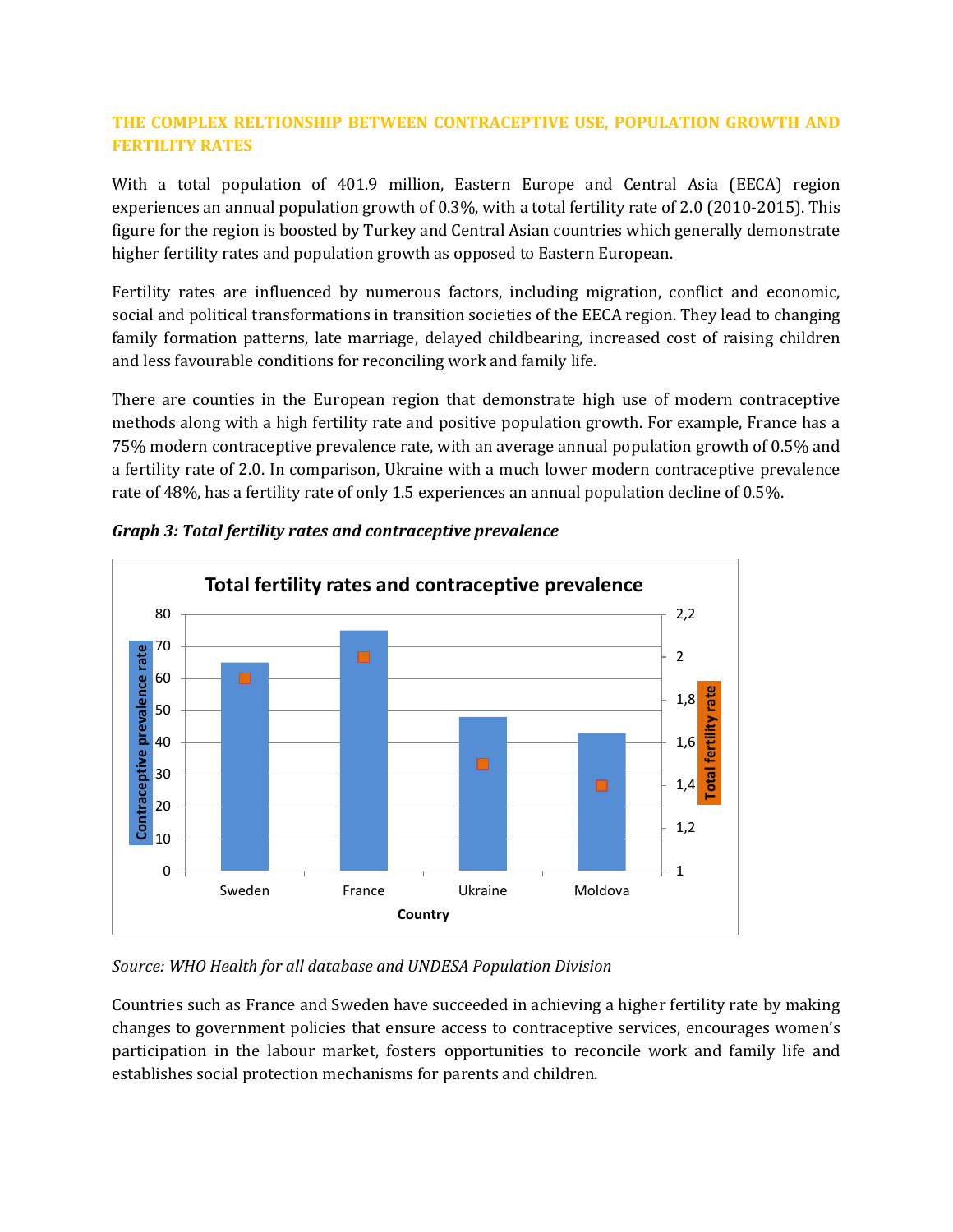## **THE COMPLEX RELTIONSHIP BETWEEN CONTRACEPTIVE USE, POPULATION GROWTH AND FERTILITY RATES**

With a total population of 401.9 million, Eastern Europe and Central Asia (EECA) region experiences an annual population growth of 0.3%, with a total fertility rate of 2.0 (2010-2015). This figure for the region is boosted by Turkey and Central Asian countries which generally demonstrate higher fertility rates and population growth as opposed to Eastern European.

Fertility rates are influenced by numerous factors, including migration, conflict and economic, social and political transformations in transition societies of the EECA region. They lead to changing family formation patterns, late marriage, delayed childbearing, increased cost of raising children and less favourable conditions for reconciling work and family life.

There are counties in the European region that demonstrate high use of modern contraceptive methods along with a high fertility rate and positive population growth. For example, France has a 75% modern contraceptive prevalence rate, with an average annual population growth of 0.5% and a fertility rate of 2.0. In comparison, Ukraine with a much lower modern contraceptive prevalence rate of 48%, has a fertility rate of only 1.5 experiences an annual population decline of 0.5%.



*Graph 3: Total fertility rates and contraceptive prevalence*

# *Source: WHO Health for all database and UNDESA Population Division*

Countries such as France and Sweden have succeeded in achieving a higher fertility rate by making changes to government policies that ensure access to contraceptive services, encourages women's participation in the labour market, fosters opportunities to reconcile work and family life and establishes social protection mechanisms for parents and children.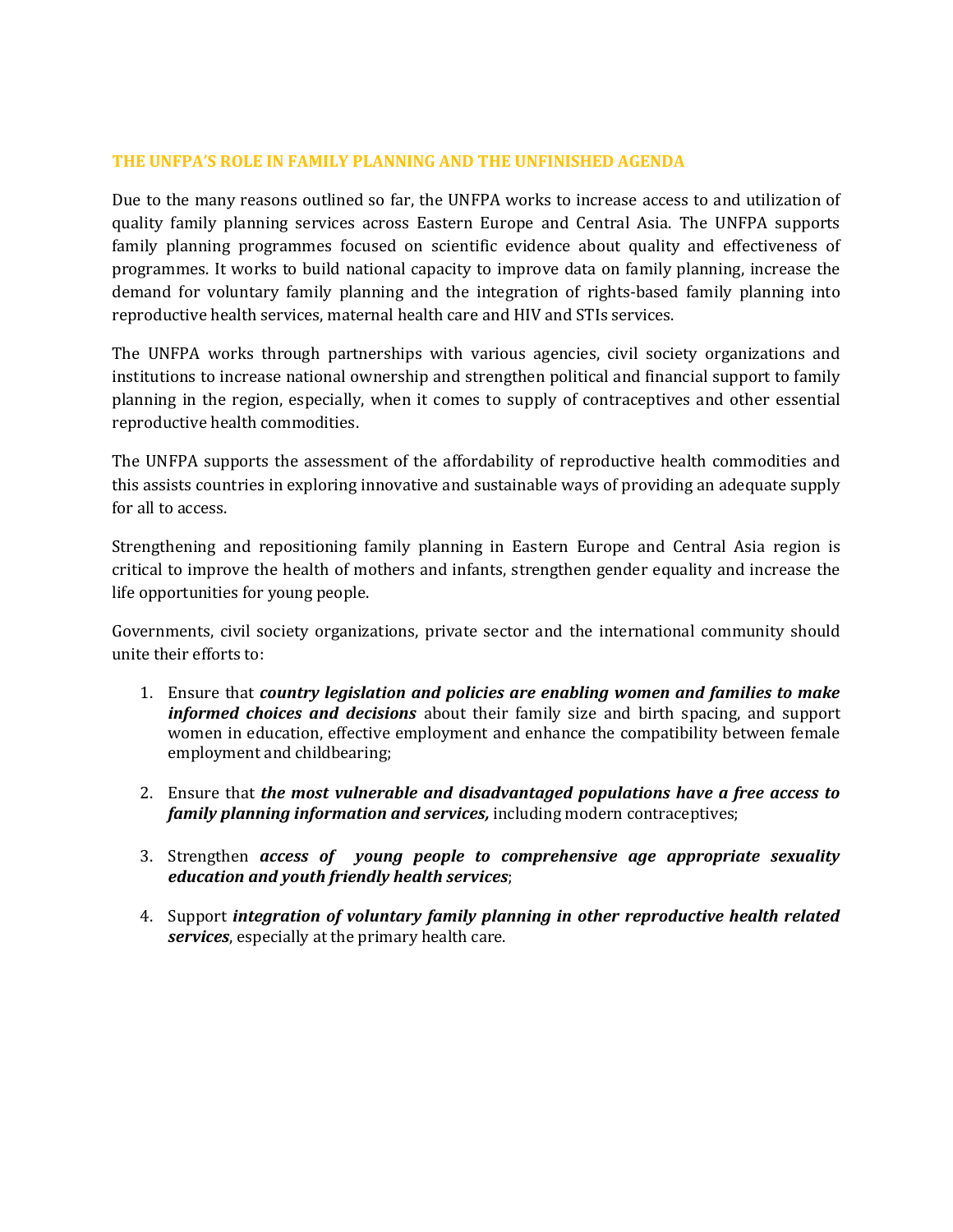### **THE UNFPA'S ROLE IN FAMILY PLANNING AND THE UNFINISHED AGENDA**

Due to the many reasons outlined so far, the UNFPA works to increase access to and utilization of quality family planning services across Eastern Europe and Central Asia. The UNFPA supports family planning programmes focused on scientific evidence about quality and effectiveness of programmes. It works to build national capacity to improve data on family planning, increase the demand for voluntary family planning and the integration of rights-based family planning into reproductive health services, maternal health care and HIV and STIs services.

The UNFPA works through partnerships with various agencies, civil society organizations and institutions to increase national ownership and strengthen political and financial support to family planning in the region, especially, when it comes to supply of contraceptives and other essential reproductive health commodities.

The UNFPA supports the assessment of the affordability of reproductive health commodities and this assists countries in exploring innovative and sustainable ways of providing an adequate supply for all to access.

Strengthening and repositioning family planning in Eastern Europe and Central Asia region is critical to improve the health of mothers and infants, strengthen gender equality and increase the life opportunities for young people.

Governments, civil society organizations, private sector and the international community should unite their efforts to:

- 1. Ensure that *country legislation and policies are enabling women and families to make informed choices and decisions* about their family size and birth spacing, and support women in education, effective employment and enhance the compatibility between female employment and childbearing;
- 2. Ensure that *the most vulnerable and disadvantaged populations have a free access to family planning information and services,* including modern contraceptives;
- 3. Strengthen *access of young people to comprehensive age appropriate sexuality education and youth friendly health services*;
- 4. Support *integration of voluntary family planning in other reproductive health related services*, especially at the primary health care.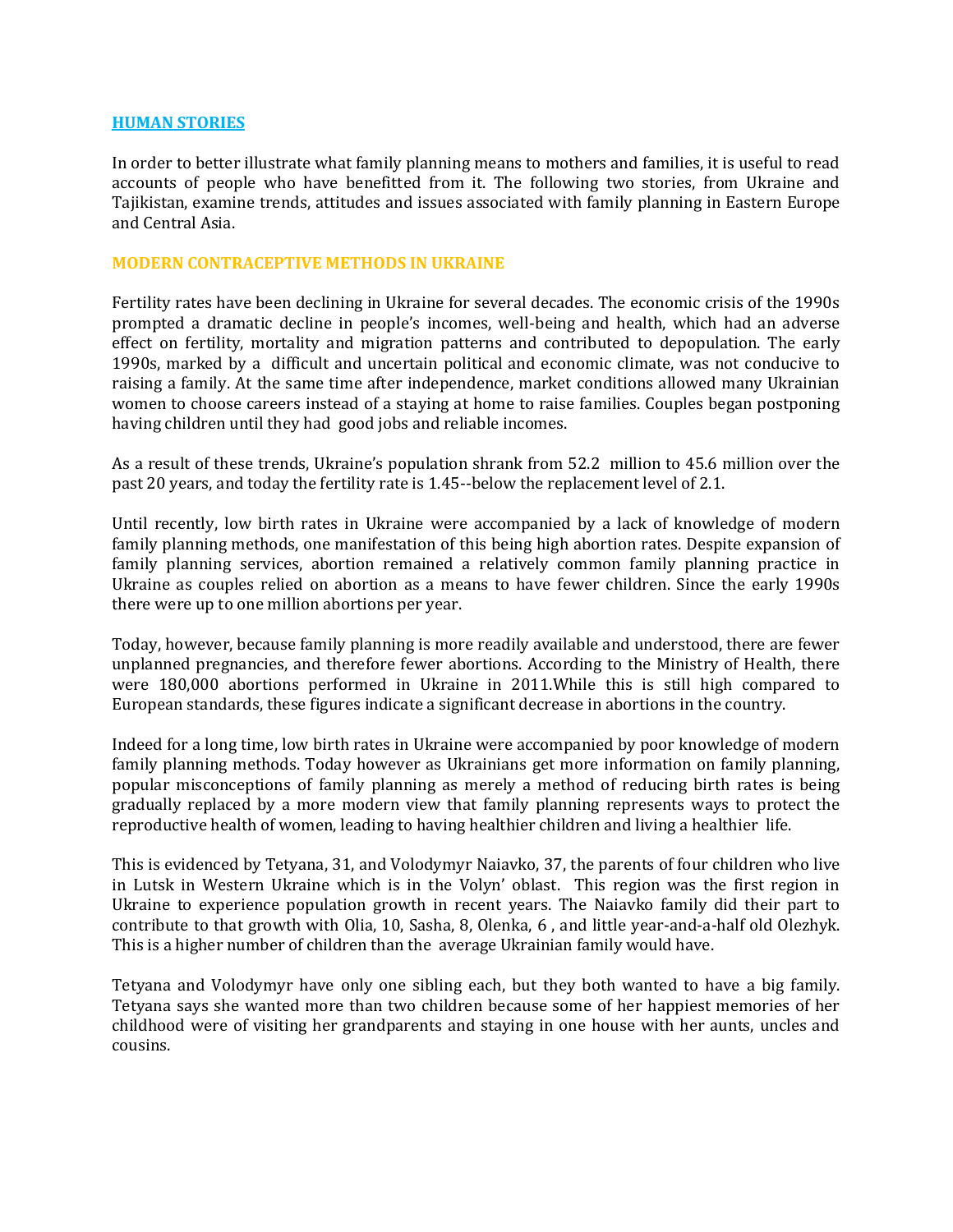#### **HUMAN STORIES**

In order to better illustrate what family planning means to mothers and families, it is useful to read accounts of people who have benefitted from it. The following two stories, from Ukraine and Tajikistan, examine trends, attitudes and issues associated with family planning in Eastern Europe and Central Asia.

#### **MODERN CONTRACEPTIVE METHODS IN UKRAINE**

Fertility rates have been declining in Ukraine for several decades. The economic crisis of the 1990s prompted a dramatic decline in people's incomes, well-being and health, which had an adverse effect on fertility, mortality and migration patterns and contributed to depopulation. The early 1990s, marked by a difficult and uncertain political and economic climate, was not conducive to raising a family. At the same time after independence, market conditions allowed many Ukrainian women to choose careers instead of a staying at home to raise families. Couples began postponing having children until they had good jobs and reliable incomes.

As a result of these trends, Ukraine's population shrank from 52.2 million to 45.6 million over the past 20 years, and today the fertility rate is 1.45--below the replacement level of 2.1.

Until recently, low birth rates in Ukraine were accompanied by a lack of knowledge of modern family planning methods, one manifestation of this being high abortion rates. Despite expansion of family planning services, abortion remained a relatively common family planning practice in Ukraine as couples relied on abortion as a means to have fewer children. Since the early 1990s there were up to one million abortions per year.

Today, however, because family planning is more readily available and understood, there are fewer unplanned pregnancies, and therefore fewer abortions. According to the Ministry of Health, there were 180,000 abortions performed in Ukraine in 2011.While this is still high compared to European standards, these figures indicate a significant decrease in abortions in the country.

Indeed for a long time, low birth rates in Ukraine were accompanied by poor knowledge of modern family planning methods. Today however as Ukrainians get more information on family planning, popular misconceptions of family planning as merely a method of reducing birth rates is being gradually replaced by a more modern view that family planning represents ways to protect the reproductive health of women, leading to having healthier children and living a healthier life.

This is evidenced by Tetyana, 31, and Volodymyr Naiavko, 37, the parents of four children who live in Lutsk in Western Ukraine which is in the Volyn' oblast. This region was the first region in Ukraine to experience population growth in recent years. The Naiavko family did their part to contribute to that growth with Olia, 10, Sasha, 8, Olenka, 6 , and little year-and-a-half old Olezhyk. This is a higher number of children than the average Ukrainian family would have.

Tetyana and Volodymyr have only one sibling each, but they both wanted to have a big family. Tetyana says she wanted more than two children because some of her happiest memories of her childhood were of visiting her grandparents and staying in one house with her aunts, uncles and cousins.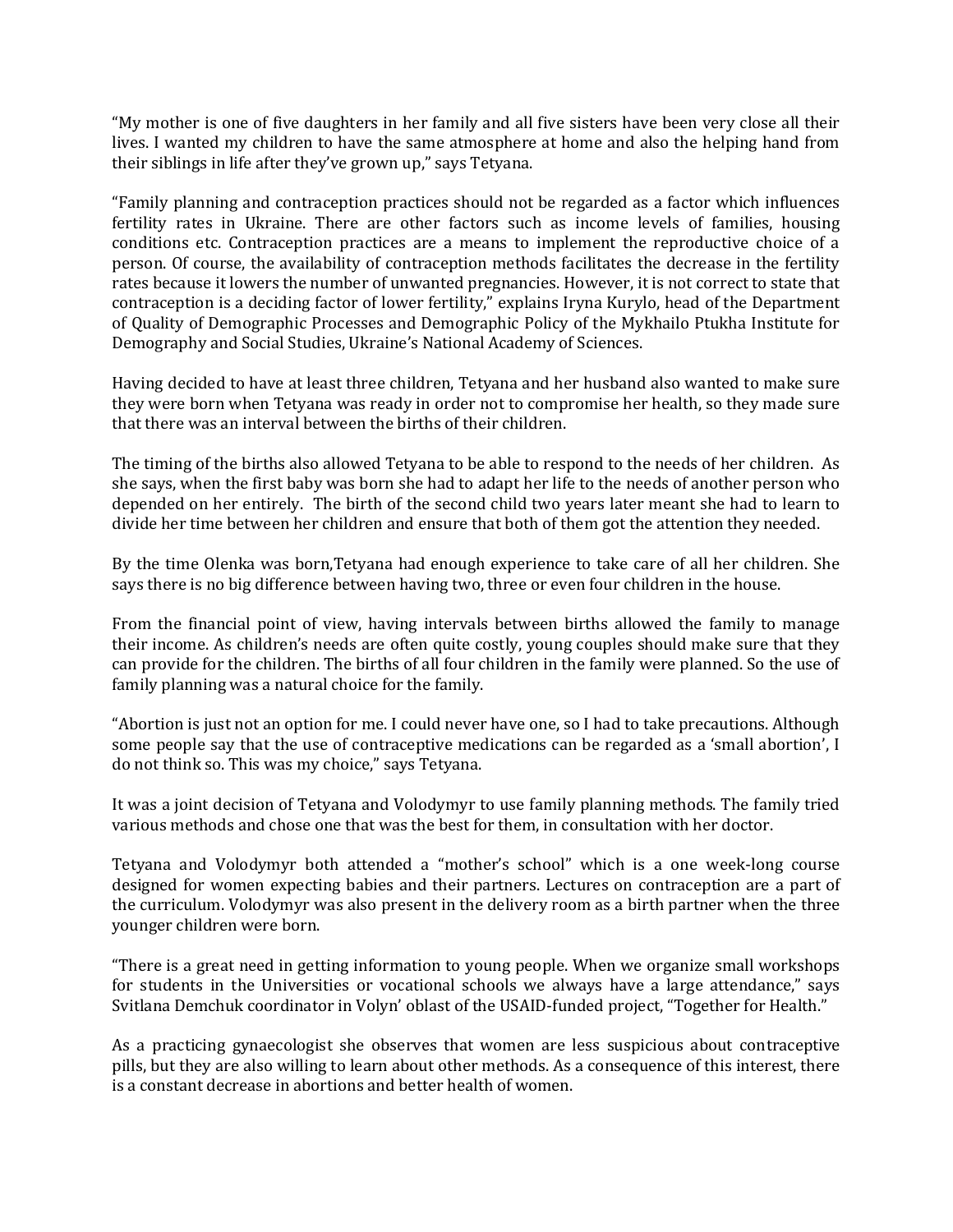"My mother is one of five daughters in her family and all five sisters have been very close all their lives. I wanted my children to have the same atmosphere at home and also the helping hand from their siblings in life after they've grown up," says Tetyana.

"Family planning and contraception practices should not be regarded as a factor which influences fertility rates in Ukraine. There are other factors such as income levels of families, housing conditions etc. Contraception practices are a means to implement the reproductive choice of a person. Of course, the availability of contraception methods facilitates the decrease in the fertility rates because it lowers the number of unwanted pregnancies. However, it is not correct to state that contraception is a deciding factor of lower fertility," explains Iryna Kurylo, head of the Department of Quality of Demographic Processes and Demographic Policy of the Mykhailo Ptukha Institute for Demography and Social Studies, Ukraine's National Academy of Sciences.

Having decided to have at least three children, Tetyana and her husband also wanted to make sure they were born when Tetyana was ready in order not to compromise her health, so they made sure that there was an interval between the births of their children.

The timing of the births also allowed Tetyana to be able to respond to the needs of her children. As she says, when the first baby was born she had to adapt her life to the needs of another person who depended on her entirely. The birth of the second child two years later meant she had to learn to divide her time between her children and ensure that both of them got the attention they needed.

By the time Olenka was born,Tetyana had enough experience to take care of all her children. She says there is no big difference between having two, three or even four children in the house.

From the financial point of view, having intervals between births allowed the family to manage their income. As children's needs are often quite costly, young couples should make sure that they can provide for the children. The births of all four children in the family were planned. So the use of family planning was a natural choice for the family.

"Abortion is just not an option for me. I could never have one, so I had to take precautions. Although some people say that the use of contraceptive medications can be regarded as a 'small abortion', I do not think so. This was my choice," says Tetyana.

It was a joint decision of Tetyana and Volodymyr to use family planning methods. The family tried various methods and chose one that was the best for them, in consultation with her doctor.

Tetyana and Volodymyr both attended a "mother's school" which is a one week-long course designed for women expecting babies and their partners. Lectures on contraception are a part of the curriculum. Volodymyr was also present in the delivery room as a birth partner when the three younger children were born.

"There is a great need in getting information to young people. When we organize small workshops for students in the Universities or vocational schools we always have a large attendance," says Svitlana Demchuk coordinator in Volyn' oblast of the USAID-funded project, "Together for Health."

As a practicing gynaecologist she observes that women are less suspicious about contraceptive pills, but they are also willing to learn about other methods. As a consequence of this interest, there is a constant decrease in abortions and better health of women.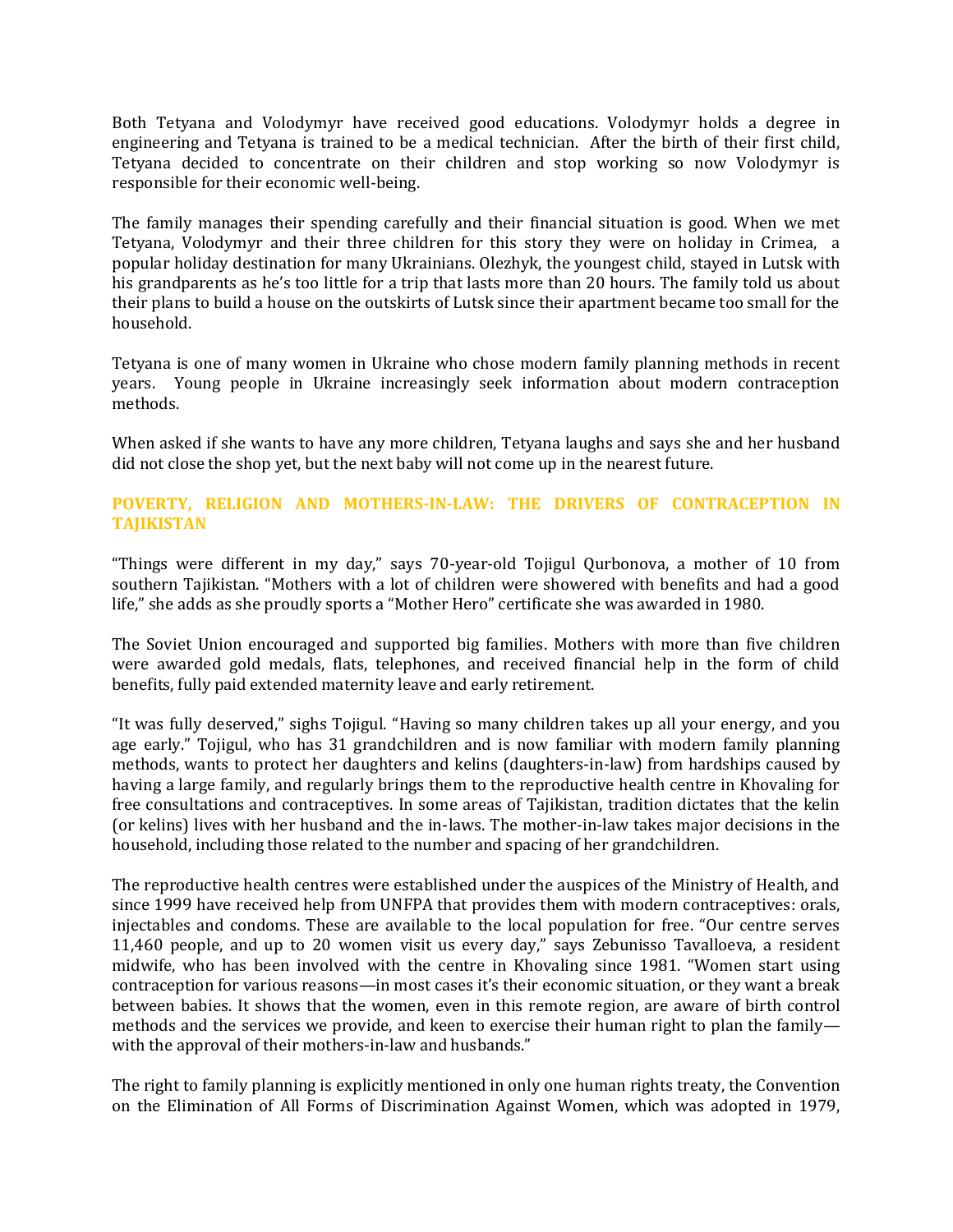Both Tetyana and Volodymyr have received good educations. Volodymyr holds a degree in engineering and Tetyana is trained to be a medical technician. After the birth of their first child, Tetyana decided to concentrate on their children and stop working so now Volodymyr is responsible for their economic well-being.

The family manages their spending carefully and their financial situation is good. When we met Tetyana, Volodymyr and their three children for this story they were on holiday in Crimea, a popular holiday destination for many Ukrainians. Olezhyk, the youngest child, stayed in Lutsk with his grandparents as he's too little for a trip that lasts more than 20 hours. The family told us about their plans to build a house on the outskirts of Lutsk since their apartment became too small for the household.

Tetyana is one of many women in Ukraine who chose modern family planning methods in recent years. Young people in Ukraine increasingly seek information about modern contraception methods.

When asked if she wants to have any more children, Tetyana laughs and says she and her husband did not close the shop yet, but the next baby will not come up in the nearest future.

### **POVERTY, RELIGION AND MOTHERS-IN-LAW: THE DRIVERS OF CONTRACEPTION IN TAJIKISTAN**

"Things were different in my day," says 70-year-old Tojigul Qurbonova, a mother of 10 from southern Tajikistan. "Mothers with a lot of children were showered with benefits and had a good life," she adds as she proudly sports a "Mother Hero" certificate she was awarded in 1980.

The Soviet Union encouraged and supported big families. Mothers with more than five children were awarded gold medals, flats, telephones, and received financial help in the form of child benefits, fully paid extended maternity leave and early retirement.

"It was fully deserved," sighs Tojigul. "Having so many children takes up all your energy, and you age early." Tojigul, who has 31 grandchildren and is now familiar with modern family planning methods, wants to protect her daughters and kelins (daughters-in-law) from hardships caused by having a large family, and regularly brings them to the reproductive health centre in Khovaling for free consultations and contraceptives. In some areas of Tajikistan, tradition dictates that the kelin (or kelins) lives with her husband and the in-laws. The mother-in-law takes major decisions in the household, including those related to the number and spacing of her grandchildren.

The reproductive health centres were established under the auspices of the Ministry of Health, and since 1999 have received help from UNFPA that provides them with modern contraceptives: orals, injectables and condoms. These are available to the local population for free. "Our centre serves 11,460 people, and up to 20 women visit us every day," says Zebunisso Tavalloeva, a resident midwife, who has been involved with the centre in Khovaling since 1981. "Women start using contraception for various reasons—in most cases it's their economic situation, or they want a break between babies. It shows that the women, even in this remote region, are aware of birth control methods and the services we provide, and keen to exercise their human right to plan the family with the approval of their mothers-in-law and husbands."

The right to family planning is explicitly mentioned in only one human rights treaty, the Convention on the Elimination of All Forms of Discrimination Against Women, which was adopted in 1979,